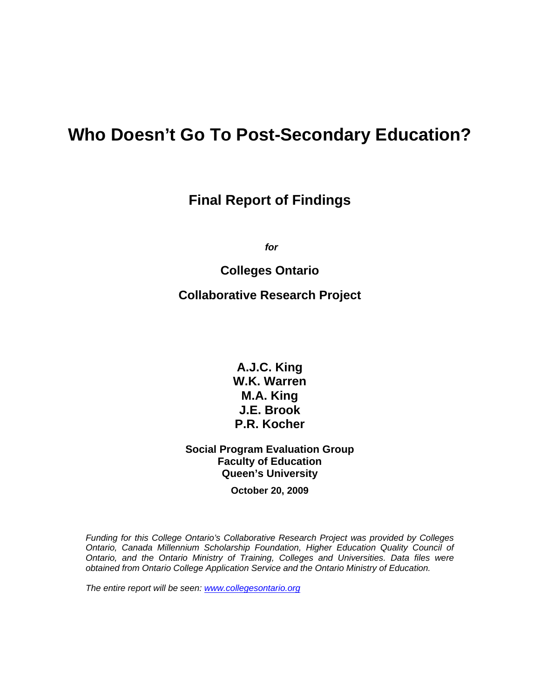# **Who Doesn't Go To Post-Secondary Education?**

# **Final Report of Findings**

*for* 

# **Colleges Ontario**

# **Collaborative Research Project**

**A.J.C. King W.K. Warren M.A. King J.E. Brook P.R. Kocher** 

# **Social Program Evaluation Group Faculty of Education Queen's University**

**October 20, 2009** 

*Funding for this College Ontario's Collaborative Research Project was provided by Colleges Ontario, Canada Millennium Scholarship Foundation, Higher Education Quality Council of Ontario, and the Ontario Ministry of Training, Colleges and Universities. Data files were obtained from Ontario College Application Service and the Ontario Ministry of Education.* 

*The entire report will be seen: [www.collegesontario.org](http://www.collegesontario.org/)*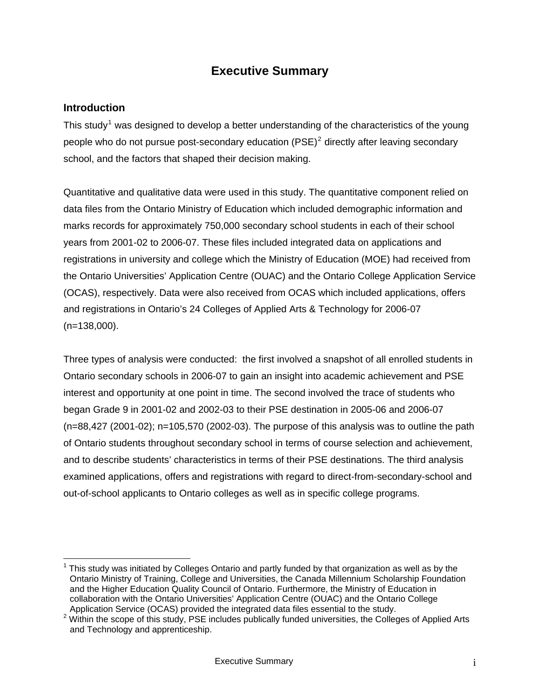# **Executive Summary**

#### **Introduction**

 $\overline{a}$ 

This study<sup>[1](#page-1-0)</sup> was designed to develop a better understanding of the characteristics of the young people who do not pursue post-secondary education (PSE)<sup>[2](#page-1-1)</sup> directly after leaving secondary school, and the factors that shaped their decision making.

Quantitative and qualitative data were used in this study. The quantitative component relied on data files from the Ontario Ministry of Education which included demographic information and marks records for approximately 750,000 secondary school students in each of their school years from 2001-02 to 2006-07. These files included integrated data on applications and registrations in university and college which the Ministry of Education (MOE) had received from the Ontario Universities' Application Centre (OUAC) and the Ontario College Application Service (OCAS), respectively. Data were also received from OCAS which included applications, offers and registrations in Ontario's 24 Colleges of Applied Arts & Technology for 2006-07 (n=138,000).

Three types of analysis were conducted: the first involved a snapshot of all enrolled students in Ontario secondary schools in 2006-07 to gain an insight into academic achievement and PSE interest and opportunity at one point in time. The second involved the trace of students who began Grade 9 in 2001-02 and 2002-03 to their PSE destination in 2005-06 and 2006-07 (n=88,427 (2001-02); n=105,570 (2002-03). The purpose of this analysis was to outline the path of Ontario students throughout secondary school in terms of course selection and achievement, and to describe students' characteristics in terms of their PSE destinations. The third analysis examined applications, offers and registrations with regard to direct-from-secondary-school and out-of-school applicants to Ontario colleges as well as in specific college programs.

<span id="page-1-0"></span><sup>1</sup> This study was initiated by Colleges Ontario and partly funded by that organization as well as by the Ontario Ministry of Training, College and Universities, the Canada Millennium Scholarship Foundation and the Higher Education Quality Council of Ontario. Furthermore, the Ministry of Education in collaboration with the Ontario Universities' Application Centre (OUAC) and the Ontario College<br>Application Service (OCAS) provided the integrated data files essential to the study.

<span id="page-1-1"></span>Application Service (OCAS) provided the integrated data files essential to the study.<br><sup>2</sup> Within the scope of this study, PSE includes publically funded universities, the Colleges of Applied Arts and Technology and apprenticeship.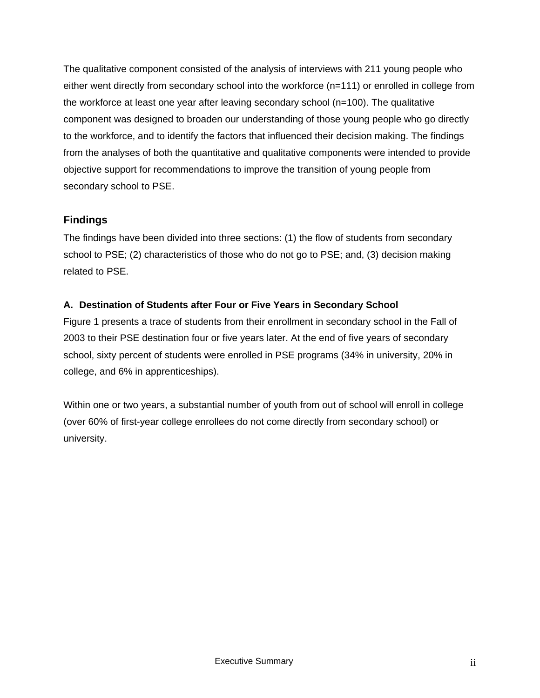The qualitative component consisted of the analysis of interviews with 211 young people who either went directly from secondary school into the workforce (n=111) or enrolled in college from the workforce at least one year after leaving secondary school (n=100). The qualitative component was designed to broaden our understanding of those young people who go directly to the workforce, and to identify the factors that influenced their decision making. The findings from the analyses of both the quantitative and qualitative components were intended to provide objective support for recommendations to improve the transition of young people from secondary school to PSE.

# **Findings**

The findings have been divided into three sections: (1) the flow of students from secondary school to PSE; (2) characteristics of those who do not go to PSE; and, (3) decision making related to PSE.

# **A. Destination of Students after Four or Five Years in Secondary School**

Figure 1 presents a trace of students from their enrollment in secondary school in the Fall of 2003 to their PSE destination four or five years later. At the end of five years of secondary school, sixty percent of students were enrolled in PSE programs (34% in university, 20% in college, and 6% in apprenticeships).

Within one or two years, a substantial number of youth from out of school will enroll in college (over 60% of first-year college enrollees do not come directly from secondary school) or university.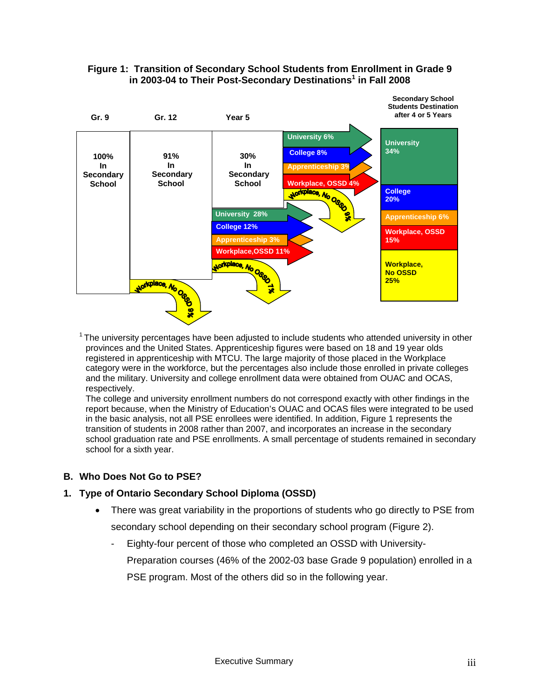



 $1$  The university percentages have been adjusted to include students who attended university in other provinces and the United States. Apprenticeship figures were based on 18 and 19 year olds registered in apprenticeship with MTCU. The large majority of those placed in the Workplace category were in the workforce, but the percentages also include those enrolled in private colleges and the military. University and college enrollment data were obtained from OUAC and OCAS, respectively.

The college and university enrollment numbers do not correspond exactly with other findings in the report because, when the Ministry of Education's OUAC and OCAS files were integrated to be used in the basic analysis, not all PSE enrollees were identified. In addition, Figure 1 represents the transition of students in 2008 rather than 2007, and incorporates an increase in the secondary school graduation rate and PSE enrollments. A small percentage of students remained in secondary school for a sixth year.

#### **B. Who Does Not Go to PSE?**

#### **1. Type of Ontario Secondary School Diploma (OSSD)**

- There was great variability in the proportions of students who go directly to PSE from secondary school depending on their secondary school program (Figure 2).
	- Eighty-four percent of those who completed an OSSD with University-Preparation courses (46% of the 2002-03 base Grade 9 population) enrolled in a PSE program. Most of the others did so in the following year.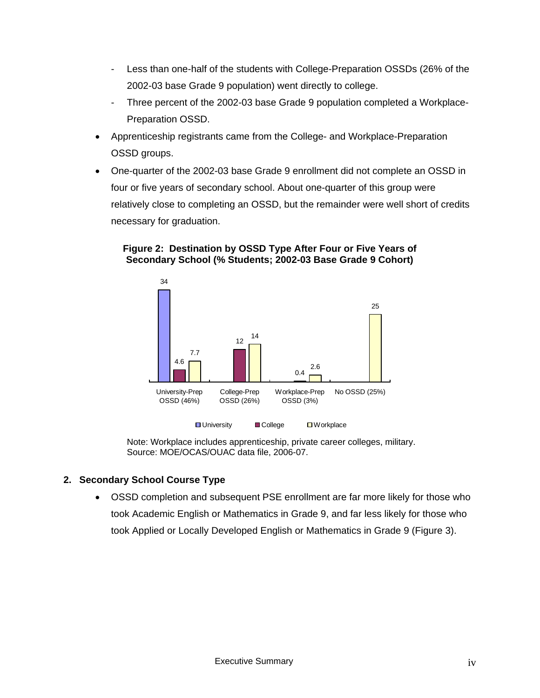- Less than one-half of the students with College-Preparation OSSDs (26% of the 2002-03 base Grade 9 population) went directly to college.
- Three percent of the 2002-03 base Grade 9 population completed a Workplace-Preparation OSSD.
- Apprenticeship registrants came from the College- and Workplace-Preparation OSSD groups.
- One-quarter of the 2002-03 base Grade 9 enrollment did not complete an OSSD in four or five years of secondary school. About one-quarter of this group were relatively close to completing an OSSD, but the remainder were well short of credits necessary for graduation.

#### **Figure 2: Destination by OSSD Type After Four or Five Years of Secondary School (% Students; 2002-03 Base Grade 9 Cohort)**



Note: Workplace includes apprenticeship, private career colleges, military. Source: MOE/OCAS/OUAC data file, 2006-07.

### **2. Secondary School Course Type**

• OSSD completion and subsequent PSE enrollment are far more likely for those who took Academic English or Mathematics in Grade 9, and far less likely for those who took Applied or Locally Developed English or Mathematics in Grade 9 (Figure 3).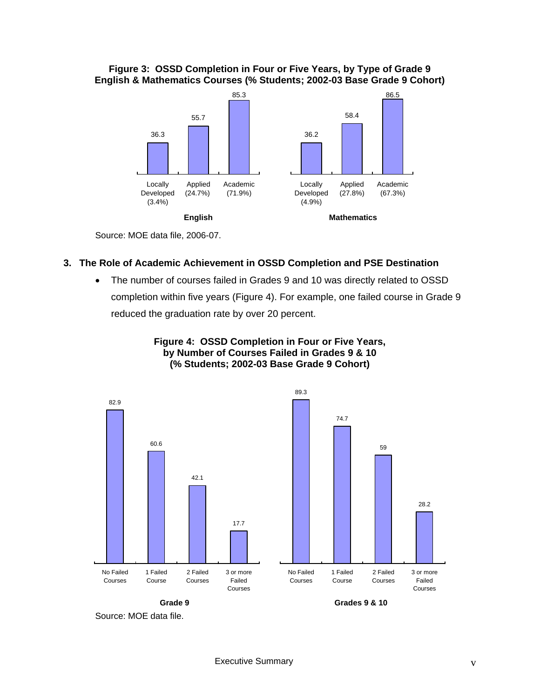#### **Figure 3: OSSD Completion in Four or Five Years, by Type of Grade 9 English & Mathematics Courses (% Students; 2002-03 Base Grade 9 Cohort)**



Source: MOE data file, 2006-07.

#### **3. The Role of Academic Achievement in OSSD Completion and PSE Destination**

• The number of courses failed in Grades 9 and 10 was directly related to OSSD completion within five years (Figure 4). For example, one failed course in Grade 9 reduced the graduation rate by over 20 percent.



**Figure 4: OSSD Completion in Four or Five Years, by Number of Courses Failed in Grades 9 & 10 (% Students; 2002-03 Base Grade 9 Cohort)** 

Source: MOE data file.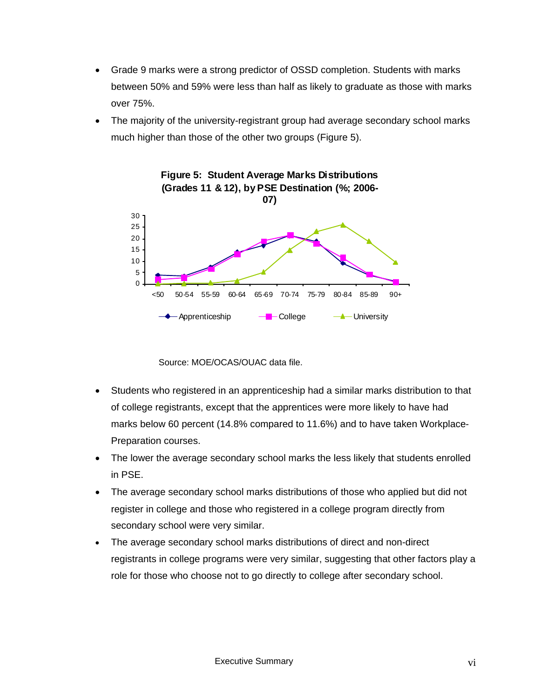- Grade 9 marks were a strong predictor of OSSD completion. Students with marks between 50% and 59% were less than half as likely to graduate as those with marks over 75%.
- The majority of the university-registrant group had average secondary school marks much higher than those of the other two groups (Figure 5).



Source: MOE/OCAS/OUAC data file.

- Students who registered in an apprenticeship had a similar marks distribution to that of college registrants, except that the apprentices were more likely to have had marks below 60 percent (14.8% compared to 11.6%) and to have taken Workplace-Preparation courses.
- The lower the average secondary school marks the less likely that students enrolled in PSE.
- The average secondary school marks distributions of those who applied but did not register in college and those who registered in a college program directly from secondary school were very similar.
- The average secondary school marks distributions of direct and non-direct registrants in college programs were very similar, suggesting that other factors play a role for those who choose not to go directly to college after secondary school.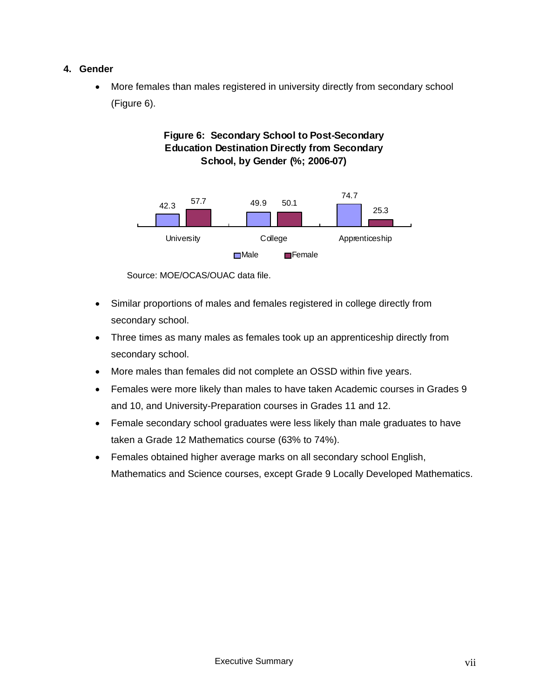#### **4. Gender**

• More females than males registered in university directly from secondary school (Figure 6).

# **Figure 6: Secondary School to Post-Secondary Education Destination Directly from Secondary School, by Gender (%; 2006-07)**



Source: MOE/OCAS/OUAC data file.

- Similar proportions of males and females registered in college directly from secondary school.
- Three times as many males as females took up an apprenticeship directly from secondary school.
- More males than females did not complete an OSSD within five years.
- Females were more likely than males to have taken Academic courses in Grades 9 and 10, and University-Preparation courses in Grades 11 and 12.
- Female secondary school graduates were less likely than male graduates to have taken a Grade 12 Mathematics course (63% to 74%).
- Females obtained higher average marks on all secondary school English, Mathematics and Science courses, except Grade 9 Locally Developed Mathematics.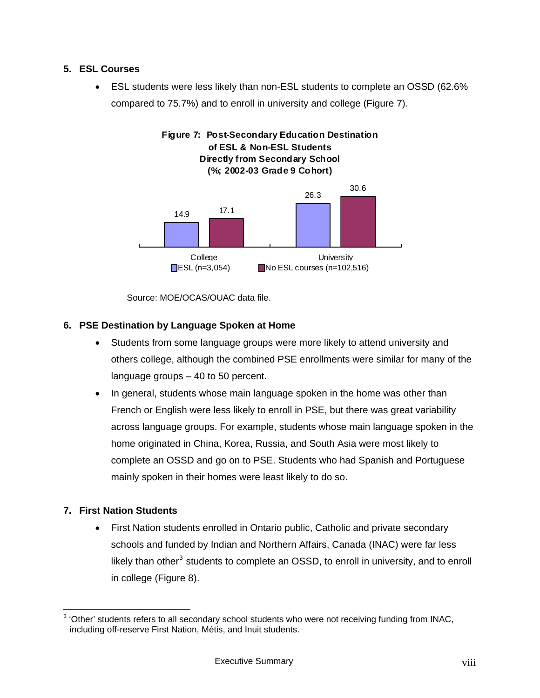#### **5. ESL Courses**

• ESL students were less likely than non-ESL students to complete an OSSD (62.6% compared to 75.7%) and to enroll in university and college (Figure 7).



Source: MOE/OCAS/OUAC data file.

#### **6. PSE Destination by Language Spoken at Home**

- Students from some language groups were more likely to attend university and others college, although the combined PSE enrollments were similar for many of the language groups – 40 to 50 percent.
- In general, students whose main language spoken in the home was other than French or English were less likely to enroll in PSE, but there was great variability across language groups. For example, students whose main language spoken in the home originated in China, Korea, Russia, and South Asia were most likely to complete an OSSD and go on to PSE. Students who had Spanish and Portuguese mainly spoken in their homes were least likely to do so.

#### **7. First Nation Students**

• First Nation students enrolled in Ontario public, Catholic and private secondary schools and funded by Indian and Northern Affairs, Canada (INAC) were far less likely than other<sup>[3](#page-8-0)</sup> students to complete an OSSD, to enroll in university, and to enroll in college (Figure 8).

<span id="page-8-0"></span> 3 'Other' students refers to all secondary school students who were not receiving funding from INAC, including off-reserve First Nation, Métis, and Inuit students.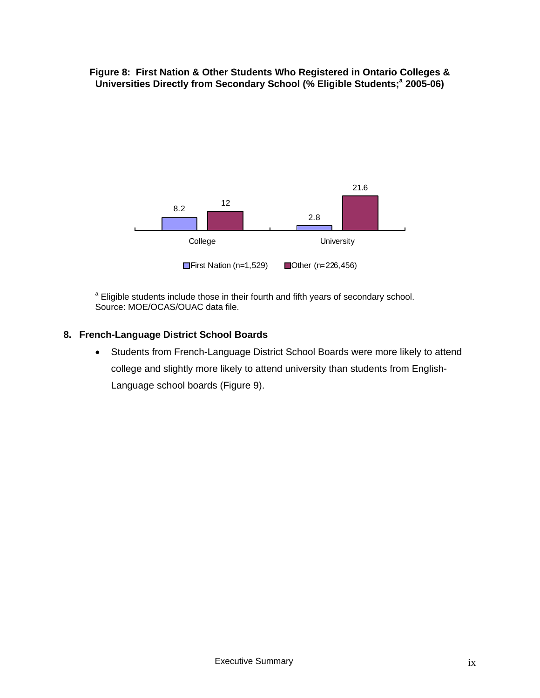**Figure 8: First Nation & Other Students Who Registered in Ontario Colleges & Universities Directly from Secondary School (% Eligible Students;<sup>a</sup> 2005-06)** 



<sup>a</sup> Eligible students include those in their fourth and fifth years of secondary school. Source: MOE/OCAS/OUAC data file.

#### **8. French-Language District School Boards**

• Students from French-Language District School Boards were more likely to attend college and slightly more likely to attend university than students from English-Language school boards (Figure 9).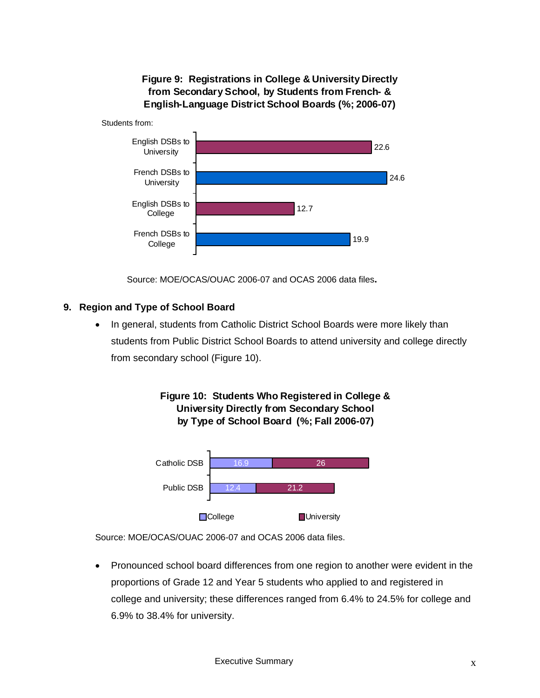**Figure 9: Registrations in College & University Directly from Secondary School, by Students from French- & English-Language District School Boards (%; 2006-07)**



Source: MOE/OCAS/OUAC 2006-07 and OCAS 2006 data files**.** 

### **9. Region and Type of School Board**

• In general, students from Catholic District School Boards were more likely than students from Public District School Boards to attend university and college directly from secondary school (Figure 10).





Source: MOE/OCAS/OUAC 2006-07 and OCAS 2006 data files.

• Pronounced school board differences from one region to another were evident in the proportions of Grade 12 and Year 5 students who applied to and registered in college and university; these differences ranged from 6.4% to 24.5% for college and 6.9% to 38.4% for university.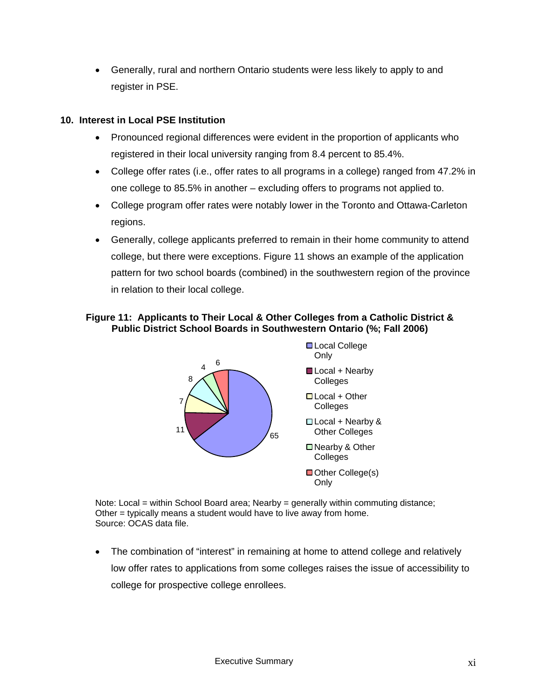• Generally, rural and northern Ontario students were less likely to apply to and register in PSE.

#### **10. Interest in Local PSE Institution**

- Pronounced regional differences were evident in the proportion of applicants who registered in their local university ranging from 8.4 percent to 85.4%.
- College offer rates (i.e., offer rates to all programs in a college) ranged from 47.2% in one college to 85.5% in another – excluding offers to programs not applied to.
- College program offer rates were notably lower in the Toronto and Ottawa-Carleton regions.
- Generally, college applicants preferred to remain in their home community to attend college, but there were exceptions. Figure 11 shows an example of the application pattern for two school boards (combined) in the southwestern region of the province in relation to their local college.

#### **Figure 11: Applicants to Their Local & Other Colleges from a Catholic District & Public District School Boards in Southwestern Ontario (%; Fall 2006)**



Note: Local = within School Board area; Nearby = generally within commuting distance; Other = typically means a student would have to live away from home. Source: OCAS data file.

• The combination of "interest" in remaining at home to attend college and relatively low offer rates to applications from some colleges raises the issue of accessibility to college for prospective college enrollees.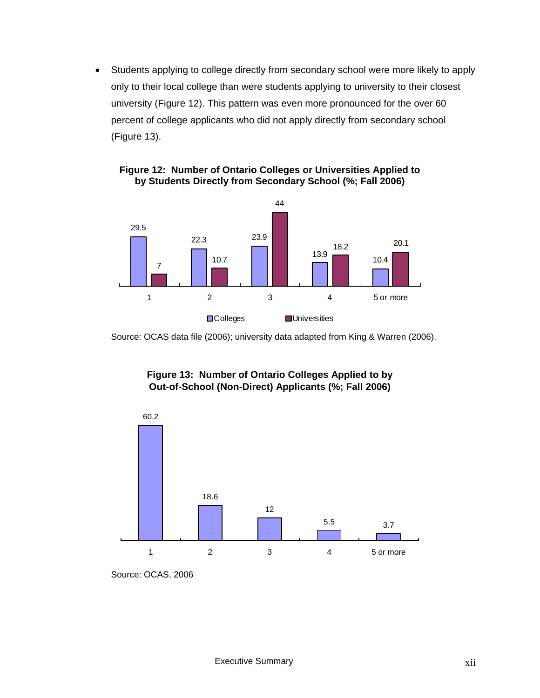• Students applying to college directly from secondary school were more likely to apply only to their local college than were students applying to university to their closest university (Figure 12). This pattern was even more pronounced for the over 60 percent of college applicants who did not apply directly from secondary school (Figure 13).



#### **Figure 12: Number of Ontario Colleges or Universities Applied to by Students Directly from Secondary School (%; Fall 2006)**

Source: OCAS data file (2006); university data adapted from King & Warren (2006).

# **Figure 13: Number of Ontario Colleges Applied to by Out-of-School (Non-Direct) Applicants (%; Fall 2006)**



Source: OCAS, 2006